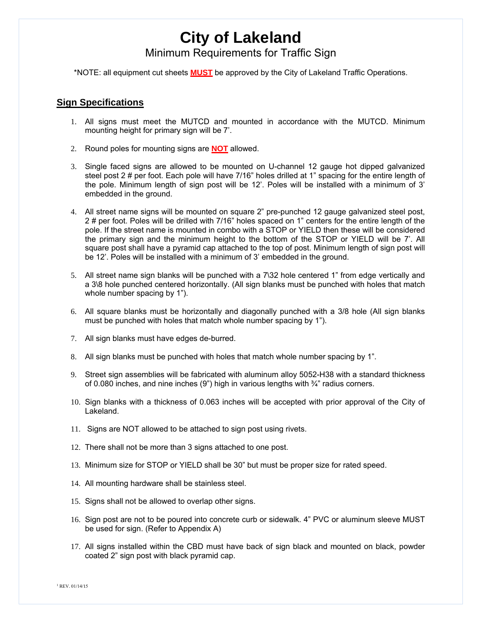Minimum Requirements for Traffic Sign

\*NOTE: all equipment cut sheets **MUST** be approved by the City of Lakeland Traffic Operations.

### **Sign Specifications**

- 1. All signs must meet the MUTCD and mounted in accordance with the MUTCD. Minimum mounting height for primary sign will be 7'.
- 2. Round poles for mounting signs are **NOT** allowed.
- 3. Single faced signs are allowed to be mounted on U-channel 12 gauge hot dipped galvanized steel post 2 # per foot. Each pole will have 7/16" holes drilled at 1" spacing for the entire length of the pole. Minimum length of sign post will be 12'. Poles will be installed with a minimum of 3' embedded in the ground.
- 4. All street name signs will be mounted on square 2" pre-punched 12 gauge galvanized steel post, 2 # per foot. Poles will be drilled with 7/16" holes spaced on 1" centers for the entire length of the pole. If the street name is mounted in combo with a STOP or YIELD then these will be considered the primary sign and the minimum height to the bottom of the STOP or YIELD will be 7'. All square post shall have a pyramid cap attached to the top of post. Minimum length of sign post will be 12'. Poles will be installed with a minimum of 3' embedded in the ground.
- 5. All street name sign blanks will be punched with a 7\32 hole centered 1" from edge vertically and a 3\8 hole punched centered horizontally. (All sign blanks must be punched with holes that match whole number spacing by 1").
- 6. All square blanks must be horizontally and diagonally punched with a 3/8 hole (All sign blanks must be punched with holes that match whole number spacing by 1").
- 7. All sign blanks must have edges de-burred.
- 8. All sign blanks must be punched with holes that match whole number spacing by 1".
- 9. Street sign assemblies will be fabricated with aluminum alloy 5052-H38 with a standard thickness of 0.080 inches, and nine inches  $(9)$  high in various lengths with  $\frac{3}{4}$  radius corners.
- 10. Sign blanks with a thickness of 0.063 inches will be accepted with prior approval of the City of Lakeland.
- 11. Signs are NOT allowed to be attached to sign post using rivets.
- 12. There shall not be more than 3 signs attached to one post.
- 13. Minimum size for STOP or YIELD shall be 30" but must be proper size for rated speed.
- 14. All mounting hardware shall be stainless steel.
- 15. Signs shall not be allowed to overlap other signs.
- 16. Sign post are not to be poured into concrete curb or sidewalk. 4" PVC or aluminum sleeve MUST be used for sign. (Refer to Appendix A)
- 17. All signs installed within the CBD must have back of sign black and mounted on black, powder coated 2" sign post with black pyramid cap.

 $1$  REV. 01/14/15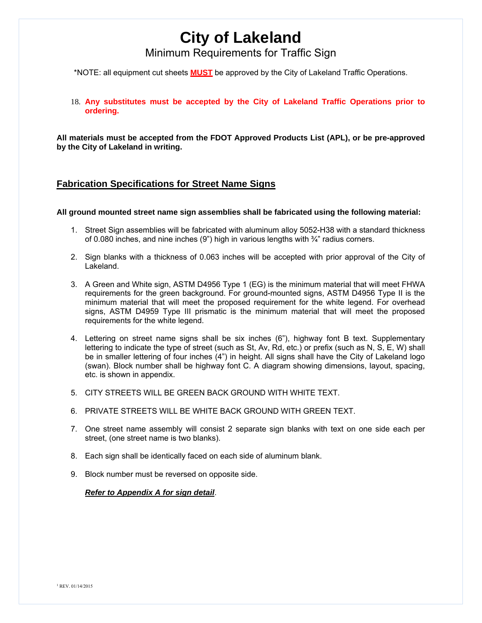Minimum Requirements for Traffic Sign

\*NOTE: all equipment cut sheets **MUST** be approved by the City of Lakeland Traffic Operations.

18. **Any substitutes must be accepted by the City of Lakeland Traffic Operations prior to ordering.**

**All materials must be accepted from the FDOT Approved Products List (APL), or be pre-approved by the City of Lakeland in writing.** 

### **Fabrication Specifications for Street Name Signs**

#### **All ground mounted street name sign assemblies shall be fabricated using the following material:**

- 1. Street Sign assemblies will be fabricated with aluminum alloy 5052-H38 with a standard thickness of 0.080 inches, and nine inches (9") high in various lengths with  $\frac{3}{4}$ " radius corners.
- 2. Sign blanks with a thickness of 0.063 inches will be accepted with prior approval of the City of Lakeland.
- 3. A Green and White sign, ASTM D4956 Type 1 (EG) is the minimum material that will meet FHWA requirements for the green background. For ground-mounted signs, ASTM D4956 Type II is the minimum material that will meet the proposed requirement for the white legend. For overhead signs, ASTM D4959 Type III prismatic is the minimum material that will meet the proposed requirements for the white legend.
- 4. Lettering on street name signs shall be six inches (6"), highway font B text. Supplementary lettering to indicate the type of street (such as St, Av, Rd, etc.) or prefix (such as N, S, E, W) shall be in smaller lettering of four inches (4") in height. All signs shall have the City of Lakeland logo (swan). Block number shall be highway font C. A diagram showing dimensions, layout, spacing, etc. is shown in appendix.
- 5. CITY STREETS WILL BE GREEN BACK GROUND WITH WHITE TEXT.
- 6. PRIVATE STREETS WILL BE WHITE BACK GROUND WITH GREEN TEXT.
- 7. One street name assembly will consist 2 separate sign blanks with text on one side each per street, (one street name is two blanks).
- 8. Each sign shall be identically faced on each side of aluminum blank.
- 9. Block number must be reversed on opposite side.

#### *Refer to Appendix A for sign detail*.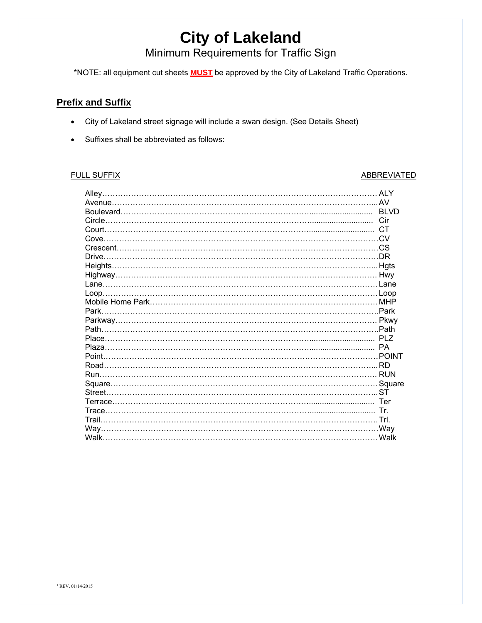Minimum Requirements for Traffic Sign

\*NOTE: all equipment cut sheets **MUST** be approved by the City of Lakeland Traffic Operations.

### **Prefix and Suffix**

- City of Lakeland street signage will include a swan design. (See Details Sheet)
- Suffixes shall be abbreviated as follows:

### FULL SUFFIX ABBREVIATED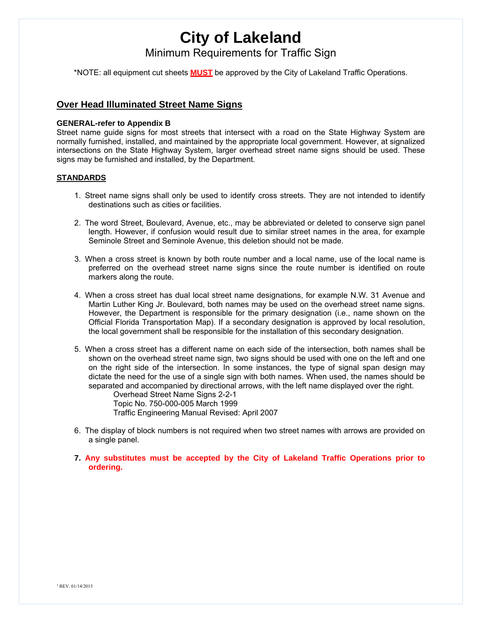Minimum Requirements for Traffic Sign

\*NOTE: all equipment cut sheets **MUST** be approved by the City of Lakeland Traffic Operations.

### **Over Head Illuminated Street Name Signs**

### **GENERAL-refer to Appendix B**

Street name guide signs for most streets that intersect with a road on the State Highway System are normally furnished, installed, and maintained by the appropriate local government. However, at signalized intersections on the State Highway System, larger overhead street name signs should be used. These signs may be furnished and installed, by the Department.

### **STANDARDS**

- 1. Street name signs shall only be used to identify cross streets. They are not intended to identify destinations such as cities or facilities.
- 2. The word Street, Boulevard, Avenue, etc., may be abbreviated or deleted to conserve sign panel length. However, if confusion would result due to similar street names in the area, for example Seminole Street and Seminole Avenue, this deletion should not be made.
- 3. When a cross street is known by both route number and a local name, use of the local name is preferred on the overhead street name signs since the route number is identified on route markers along the route.
- 4. When a cross street has dual local street name designations, for example N.W. 31 Avenue and Martin Luther King Jr. Boulevard, both names may be used on the overhead street name signs. However, the Department is responsible for the primary designation (i.e., name shown on the Official Florida Transportation Map). If a secondary designation is approved by local resolution, the local government shall be responsible for the installation of this secondary designation.
- 5. When a cross street has a different name on each side of the intersection, both names shall be shown on the overhead street name sign, two signs should be used with one on the left and one on the right side of the intersection. In some instances, the type of signal span design may dictate the need for the use of a single sign with both names. When used, the names should be separated and accompanied by directional arrows, with the left name displayed over the right.

Overhead Street Name Signs 2-2-1 Topic No. 750-000-005 March 1999 Traffic Engineering Manual Revised: April 2007

- 6. The display of block numbers is not required when two street names with arrows are provided on a single panel.
- **7. Any substitutes must be accepted by the City of Lakeland Traffic Operations prior to ordering.**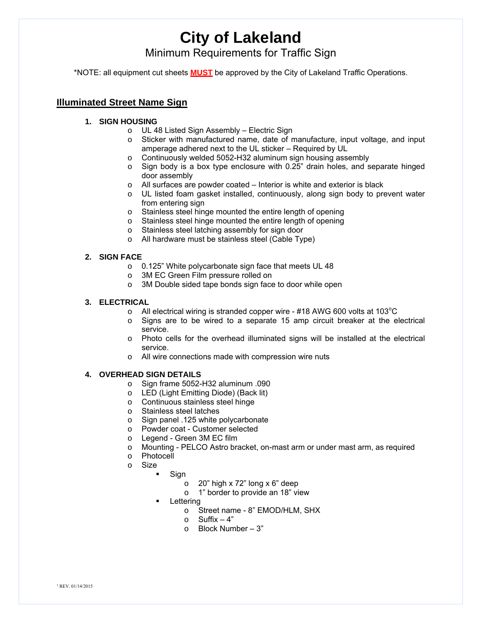Minimum Requirements for Traffic Sign

\*NOTE: all equipment cut sheets **MUST** be approved by the City of Lakeland Traffic Operations.

### **Illuminated Street Name Sign**

- **1. SIGN HOUSING**
	- o UL 48 Listed Sign Assembly Electric Sign
	- o Sticker with manufactured name, date of manufacture, input voltage, and input amperage adhered next to the UL sticker – Required by UL
	- o Continuously welded 5052-H32 aluminum sign housing assembly
	- o Sign body is a box type enclosure with 0.25" drain holes, and separate hinged door assembly
	- o All surfaces are powder coated Interior is white and exterior is black
	- o UL listed foam gasket installed, continuously, along sign body to prevent water from entering sign
	- o Stainless steel hinge mounted the entire length of opening
	- o Stainless steel hinge mounted the entire length of opening
	- o Stainless steel latching assembly for sign door
	- o All hardware must be stainless steel (Cable Type)

### **2. SIGN FACE**

- o 0.125" White polycarbonate sign face that meets UL 48
- o 3M EC Green Film pressure rolled on
- o 3M Double sided tape bonds sign face to door while open

### **3. ELECTRICAL**

- $\circ$  All electrical wiring is stranded copper wire #18 AWG 600 volts at 103 $^{\circ}$ C
- o Signs are to be wired to a separate 15 amp circuit breaker at the electrical service.
- $\circ$  Photo cells for the overhead illuminated signs will be installed at the electrical service.
- o All wire connections made with compression wire nuts

### **4. OVERHEAD SIGN DETAILS**

- o Sign frame 5052-H32 aluminum .090
- o LED (Light Emitting Diode) (Back lit)
- o Continuous stainless steel hinge
- o Stainless steel latches
- o Sign panel .125 white polycarbonate
- o Powder coat Customer selected
- o Legend Green 3M EC film
- o Mounting PELCO Astro bracket, on-mast arm or under mast arm, as required
- o Photocell
- o Size
	- Sign
		- $\circ$  20" high x 72" long x 6" deep
		- o 1" border to provide an 18" view
	- Lettering
		- o Street name 8" EMOD/HLM, SHX
		- $\circ$  Suffix  $-4$ "
		- $\circ$  Block Number 3"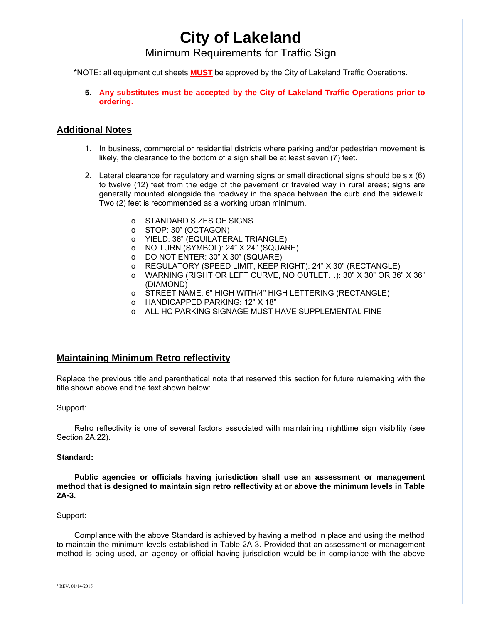### Minimum Requirements for Traffic Sign

\*NOTE: all equipment cut sheets **MUST** be approved by the City of Lakeland Traffic Operations.

**5. Any substitutes must be accepted by the City of Lakeland Traffic Operations prior to ordering.**

### **Additional Notes**

- 1. In business, commercial or residential districts where parking and/or pedestrian movement is likely, the clearance to the bottom of a sign shall be at least seven (7) feet.
- 2. Lateral clearance for regulatory and warning signs or small directional signs should be six (6) to twelve (12) feet from the edge of the pavement or traveled way in rural areas; signs are generally mounted alongside the roadway in the space between the curb and the sidewalk. Two (2) feet is recommended as a working urban minimum.
	- o STANDARD SIZES OF SIGNS
	- o STOP: 30" (OCTAGON)
	- o YIELD: 36" (EQUILATERAL TRIANGLE)
	- o NO TURN (SYMBOL): 24" X 24" (SQUARE)
	- o DO NOT ENTER: 30" X 30" (SQUARE)
	- o REGULATORY (SPEED LIMIT, KEEP RIGHT): 24" X 30" (RECTANGLE)
	- o WARNING (RIGHT OR LEFT CURVE, NO OUTLET…): 30" X 30" OR 36" X 36" (DIAMOND)
	- o STREET NAME: 6" HIGH WITH/4" HIGH LETTERING (RECTANGLE)
	- o HANDICAPPED PARKING: 12" X 18"
	- ALL HC PARKING SIGNAGE MUST HAVE SUPPLEMENTAL FINE

### **Maintaining Minimum Retro reflectivity**

Replace the previous title and parenthetical note that reserved this section for future rulemaking with the title shown above and the text shown below:

#### Support:

Retro reflectivity is one of several factors associated with maintaining nighttime sign visibility (see Section 2A.22).

#### **Standard:**

**Public agencies or officials having jurisdiction shall use an assessment or management method that is designed to maintain sign retro reflectivity at or above the minimum levels in Table 2A-3.**

#### Support:

Compliance with the above Standard is achieved by having a method in place and using the method to maintain the minimum levels established in Table 2A-3. Provided that an assessment or management method is being used, an agency or official having jurisdiction would be in compliance with the above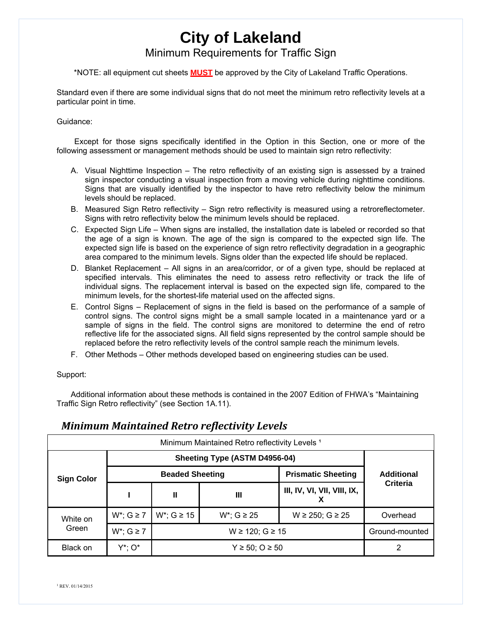### Minimum Requirements for Traffic Sign

\*NOTE: all equipment cut sheets **MUST** be approved by the City of Lakeland Traffic Operations.

Standard even if there are some individual signs that do not meet the minimum retro reflectivity levels at a particular point in time.

#### Guidance:

Except for those signs specifically identified in the Option in this Section, one or more of the following assessment or management methods should be used to maintain sign retro reflectivity:

- A. Visual Nighttime Inspection The retro reflectivity of an existing sign is assessed by a trained sign inspector conducting a visual inspection from a moving vehicle during nighttime conditions. Signs that are visually identified by the inspector to have retro reflectivity below the minimum levels should be replaced.
- B. Measured Sign Retro reflectivity Sign retro reflectivity is measured using a retroreflectometer. Signs with retro reflectivity below the minimum levels should be replaced.
- C. Expected Sign Life When signs are installed, the installation date is labeled or recorded so that the age of a sign is known. The age of the sign is compared to the expected sign life. The expected sign life is based on the experience of sign retro reflectivity degradation in a geographic area compared to the minimum levels. Signs older than the expected life should be replaced.
- D. Blanket Replacement All signs in an area/corridor, or of a given type, should be replaced at specified intervals. This eliminates the need to assess retro reflectivity or track the life of individual signs. The replacement interval is based on the expected sign life, compared to the minimum levels, for the shortest-life material used on the affected signs.
- E. Control Signs Replacement of signs in the field is based on the performance of a sample of control signs. The control signs might be a small sample located in a maintenance yard or a sample of signs in the field. The control signs are monitored to determine the end of retro reflective life for the associated signs. All field signs represented by the control sample should be replaced before the retro reflectivity levels of the control sample reach the minimum levels.
- F. Other Methods Other methods developed based on engineering studies can be used.

### Support:

Additional information about these methods is contained in the 2007 Edition of FHWA's "Maintaining Traffic Sign Retro reflectivity" (see Section 1A.11).

| Minimum Maintained Retro reflectivity Levels <sup>1</sup> |                               |                          |                |                             |                   |  |
|-----------------------------------------------------------|-------------------------------|--------------------------|----------------|-----------------------------|-------------------|--|
|                                                           | Sheeting Type (ASTM D4956-04) |                          |                |                             |                   |  |
| <b>Sign Color</b>                                         | <b>Beaded Sheeting</b>        |                          |                | <b>Prismatic Sheeting</b>   | <b>Additional</b> |  |
|                                                           |                               | Ш                        | Ш              | III, IV, VI, VII, VIII, IX, | Criteria          |  |
| White on<br>Green                                         | $W^*$ ; $G \ge 7$             | $W^*$ ; G $\geq 15$      | $W^*$ : G ≥ 25 | $W \ge 250$ ; $G \ge 25$    | Overhead          |  |
|                                                           | $W^*$ ; $G \ge 7$             | $W \ge 120$ ; $G \ge 15$ |                |                             | Ground-mounted    |  |
| Black on                                                  | Y*: 0*                        | $Y \ge 50$ ; O ≥ 50      |                |                             |                   |  |

### *Minimum Maintained Retro reflectivity Levels*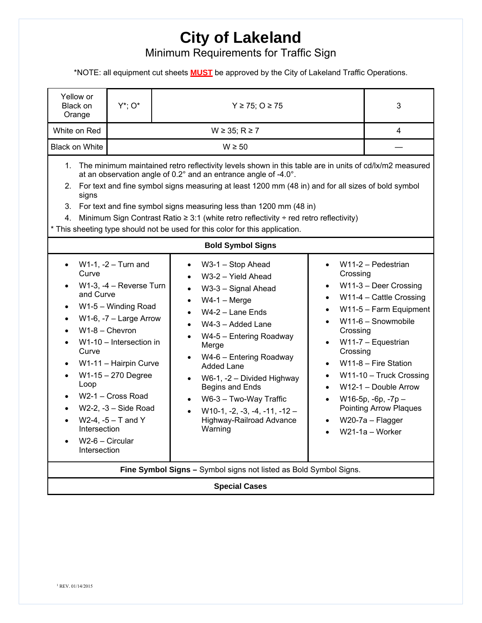Minimum Requirements for Traffic Sign

\*NOTE: all equipment cut sheets **MUST** be approved by the City of Lakeland Traffic Operations.

| Yellow or<br>Black on<br>Orange                                                                                                                                                                                                                                                                                                                                                                                                                                                                                                                                            | $Y^*$ : $O^*$                                                                                                                                                                                                                                                      | $Y \ge 75$ ; O $\ge 75$                                                                                                                                                                                                                                                                                                                                                                                                                                                                                      | 3                                                                                    |                                                                                                                                                                                                                                                                                                                               |  |  |  |
|----------------------------------------------------------------------------------------------------------------------------------------------------------------------------------------------------------------------------------------------------------------------------------------------------------------------------------------------------------------------------------------------------------------------------------------------------------------------------------------------------------------------------------------------------------------------------|--------------------------------------------------------------------------------------------------------------------------------------------------------------------------------------------------------------------------------------------------------------------|--------------------------------------------------------------------------------------------------------------------------------------------------------------------------------------------------------------------------------------------------------------------------------------------------------------------------------------------------------------------------------------------------------------------------------------------------------------------------------------------------------------|--------------------------------------------------------------------------------------|-------------------------------------------------------------------------------------------------------------------------------------------------------------------------------------------------------------------------------------------------------------------------------------------------------------------------------|--|--|--|
| White on Red                                                                                                                                                                                                                                                                                                                                                                                                                                                                                                                                                               |                                                                                                                                                                                                                                                                    | 4                                                                                                                                                                                                                                                                                                                                                                                                                                                                                                            |                                                                                      |                                                                                                                                                                                                                                                                                                                               |  |  |  |
| <b>Black on White</b>                                                                                                                                                                                                                                                                                                                                                                                                                                                                                                                                                      |                                                                                                                                                                                                                                                                    |                                                                                                                                                                                                                                                                                                                                                                                                                                                                                                              |                                                                                      |                                                                                                                                                                                                                                                                                                                               |  |  |  |
| 1. The minimum maintained retro reflectivity levels shown in this table are in units of cd/lx/m2 measured<br>at an observation angle of $0.2^{\circ}$ and an entrance angle of -4.0 $^{\circ}$ .<br>2. For text and fine symbol signs measuring at least 1200 mm (48 in) and for all sizes of bold symbol<br>signs<br>3. For text and fine symbol signs measuring less than 1200 mm (48 in)<br>4. Minimum Sign Contrast Ratio $\geq$ 3:1 (white retro reflectivity ÷ red retro reflectivity)<br>This sheeting type should not be used for this color for this application. |                                                                                                                                                                                                                                                                    |                                                                                                                                                                                                                                                                                                                                                                                                                                                                                                              |                                                                                      |                                                                                                                                                                                                                                                                                                                               |  |  |  |
| <b>Bold Symbol Signs</b>                                                                                                                                                                                                                                                                                                                                                                                                                                                                                                                                                   |                                                                                                                                                                                                                                                                    |                                                                                                                                                                                                                                                                                                                                                                                                                                                                                                              |                                                                                      |                                                                                                                                                                                                                                                                                                                               |  |  |  |
| Curve<br>and Curve<br>$W1-8 -$ Chevron<br>Curve<br>$\bullet$<br>$\bullet$<br>Loop<br>$\bullet$<br>Intersection<br>W2-6 - Circular<br>Intersection                                                                                                                                                                                                                                                                                                                                                                                                                          | $W1-1$ , $-2$ - Turn and<br>W1-3, -4 - Reverse Turn<br>W1-5 - Winding Road<br>$W1-6$ , $-7$ – Large Arrow<br>$W1-10$ – Intersection in<br>W1-11 - Hairpin Curve<br>W1-15 - 270 Degree<br>W2-1 - Cross Road<br>$W2-2$ , $-3$ – Side Road<br>$W2-4$ , $-5 - T$ and Y | W3-1 - Stop Ahead<br>$\bullet$<br>W3-2 - Yield Ahead<br>$\bullet$<br>W3-3 - Signal Ahead<br>$\bullet$<br>$W4-1 - Merge$<br>$\bullet$<br>$W4-2$ – Lane Ends<br>$\bullet$<br>W4-3 - Added Lane<br>$\bullet$<br>W4-5 - Entering Roadway<br>$\bullet$<br>Merge<br>W4-6 - Entering Roadway<br>$\bullet$<br>Added Lane<br>W6-1, -2 - Divided Highway<br>$\bullet$<br>Begins and Ends<br>W6-3 - Two-Way Traffic<br>$\bullet$<br>$W10-1, -2, -3, -4, -11, -12 -$<br>$\bullet$<br>Highway-Railroad Advance<br>Warning | Crossing<br>Crossing<br>$\bullet$<br>Crossing<br>$\bullet$<br>$\bullet$<br>$\bullet$ | W11-2 - Pedestrian<br>W11-3 - Deer Crossing<br>W11-4 - Cattle Crossing<br>W11-5 - Farm Equipment<br>$W11-6 -$ Snowmobile<br>W11-7 - Equestrian<br>$W11-8$ – Fire Station<br>W11-10 - Truck Crossing<br>$W12-1 - Double Arrow$<br>$W16-5p, -6p, -7p -$<br><b>Pointing Arrow Plaques</b><br>W20-7a - Flagger<br>$W21-1a-Worker$ |  |  |  |
| Fine Symbol Signs - Symbol signs not listed as Bold Symbol Signs.                                                                                                                                                                                                                                                                                                                                                                                                                                                                                                          |                                                                                                                                                                                                                                                                    |                                                                                                                                                                                                                                                                                                                                                                                                                                                                                                              |                                                                                      |                                                                                                                                                                                                                                                                                                                               |  |  |  |
| <b>Special Cases</b>                                                                                                                                                                                                                                                                                                                                                                                                                                                                                                                                                       |                                                                                                                                                                                                                                                                    |                                                                                                                                                                                                                                                                                                                                                                                                                                                                                                              |                                                                                      |                                                                                                                                                                                                                                                                                                                               |  |  |  |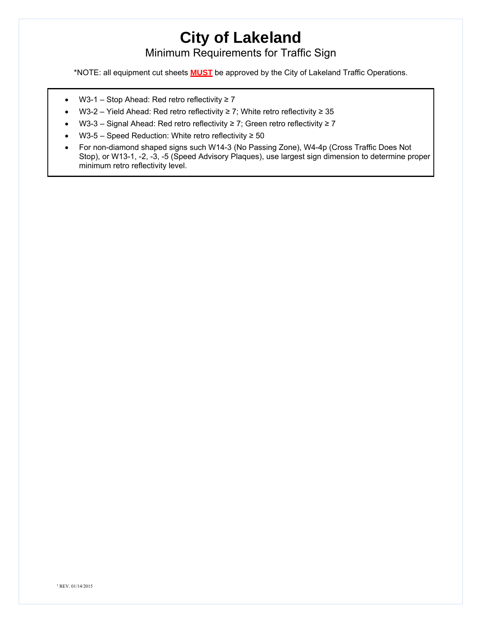Minimum Requirements for Traffic Sign

\*NOTE: all equipment cut sheets **MUST** be approved by the City of Lakeland Traffic Operations.

- W3-1 Stop Ahead: Red retro reflectivity ≥ 7
- W3-2 Yield Ahead: Red retro reflectivity ≥ 7; White retro reflectivity ≥ 35
- W3-3 Signal Ahead: Red retro reflectivity ≥ 7; Green retro reflectivity ≥ 7
- W3-5 Speed Reduction: White retro reflectivity ≥ 50
- For non-diamond shaped signs such W14-3 (No Passing Zone), W4-4p (Cross Traffic Does Not Stop), or W13-1, -2, -3, -5 (Speed Advisory Plaques), use largest sign dimension to determine proper minimum retro reflectivity level.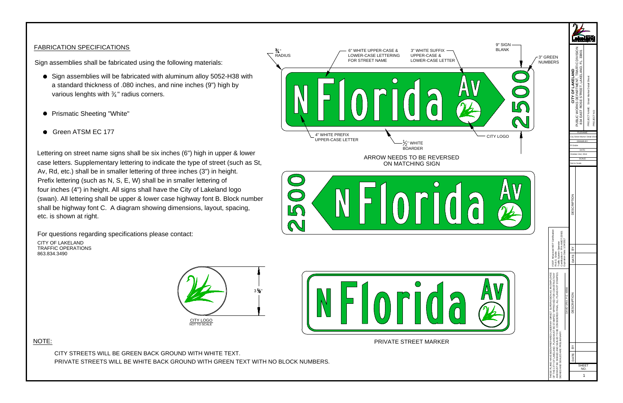- Sign assemblies will be fabricated with aluminum alloy 5052-H38 with a standard thickness of .080 inches, and nine inches (9") high by various lenghts with  $\frac{3}{4}$ " radius corners.
- Prismatic Sheeting "White" -<br>Prismatic Sheeting "W<br>Green ATSM EC 177
- 

FABRICATION SPECIFICATIONS<br>
Sign assemblies shall be fabricated using the following materials:<br>
Sign assemblies shall be fabricated using the following materials:<br>
Sign assemblies shill be fabricated with a uminum alloy 50 Lettering on street name signs shall be six inches (6") high in upper & lower case letters. Supplementary lettering to indicate the type of street (such as St, case letters. Supplementary lettering to indicate the type of street (such<br>Av, Rd, etc.) shall be in smaller lettering of three inches (3") in height.<br>Prefix lettering (such as N, S, E, W) shall be in smaller lettering of<br> Prefix lettering (such as N, S, E, W) shall be in smaller lettering of<br>four inches (4") in height. All signs shall have the City of Lakeland logo<br>(swan). All lettering shall be upper & lower case highway font B. Block numb (swan). All lettering shall be upper & lower case highway font B. Block nui<br>shall be highway font C. A diagram showing dimensions, layout, spacing, shall be highway fon<mark>t</mark><br>etc. is shown at right.





NOTE:





CITY STREETS WILL BE GREEN BACK GROUND WITH WHITE TEXT.